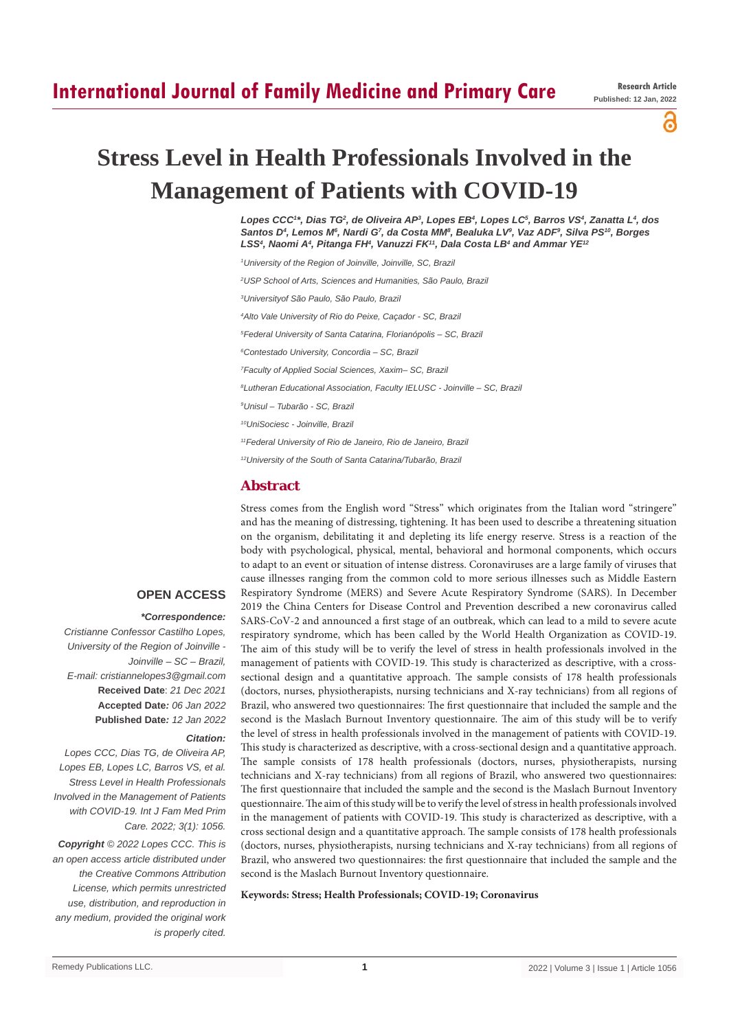## **International Journal of Family Medicine and Primary Care**

പ

# **Stress Level in Health Professionals Involved in the Management of Patients with COVID-19**

*Lopes CCC1 \*, Dias TG2 , de Oliveira AP3 , Lopes EB4 , Lopes LC5 , Barros VS4 , Zanatta L4 , dos*  Santos D<sup>4</sup>, Lemos M<sup>6</sup>, Nardi G<sup>7</sup>, da Costa MM<sup>8</sup>, Bealuka LV<sup>9</sup>, Vaz ADF<sup>9</sup>, Silva PS<sup>10</sup>, Borges *LSS4 , Naomi A4 , Pitanga FH4 , Vanuzzi FK11, Dala Costa LB4 and Ammar YE12*

- *1 University of the Region of Joinville, Joinville, SC, Brazil*
- *2 USP School of Arts, Sciences and Humanities, São Paulo, Brazil*
- *3 Universityof São Paulo, São Paulo, Brazil*
- *4 Alto Vale University of Rio do Peixe, Caçador SC, Brazil*
- *5 Federal University of Santa Catarina, Florianópolis SC, Brazil*
- *6 Contestado University, Concordia SC, Brazil*
- *7 Faculty of Applied Social Sciences, Xaxim– SC, Brazil*
- *8 Lutheran Educational Association, Faculty IELUSC Joinville SC, Brazil*
- *9 Unisul Tubarão SC, Brazil*
- *10UniSociesc Joinville, Brazil*
- *11Federal University of Rio de Janeiro, Rio de Janeiro, Brazil*
- *12University of the South of Santa Catarina/Tubarão, Brazil*

## **Abstract**

Stress comes from the English word "Stress" which originates from the Italian word "stringere" and has the meaning of distressing, tightening. It has been used to describe a threatening situation on the organism, debilitating it and depleting its life energy reserve. Stress is a reaction of the body with psychological, physical, mental, behavioral and hormonal components, which occurs to adapt to an event or situation of intense distress. Coronaviruses are a large family of viruses that cause illnesses ranging from the common cold to more serious illnesses such as Middle Eastern Respiratory Syndrome (MERS) and Severe Acute Respiratory Syndrome (SARS). In December 2019 the China Centers for Disease Control and Prevention described a new coronavirus called SARS-CoV-2 and announced a first stage of an outbreak, which can lead to a mild to severe acute respiratory syndrome, which has been called by the World Health Organization as COVID-19. The aim of this study will be to verify the level of stress in health professionals involved in the management of patients with COVID-19. This study is characterized as descriptive, with a crosssectional design and a quantitative approach. The sample consists of 178 health professionals (doctors, nurses, physiotherapists, nursing technicians and X-ray technicians) from all regions of Brazil, who answered two questionnaires: The first questionnaire that included the sample and the second is the Maslach Burnout Inventory questionnaire. The aim of this study will be to verify the level of stress in health professionals involved in the management of patients with COVID-19. This study is characterized as descriptive, with a cross-sectional design and a quantitative approach. The sample consists of 178 health professionals (doctors, nurses, physiotherapists, nursing technicians and X-ray technicians) from all regions of Brazil, who answered two questionnaires: The first questionnaire that included the sample and the second is the Maslach Burnout Inventory questionnaire. The aim of this study will be to verify the level of stress in health professionals involved in the management of patients with COVID-19. This study is characterized as descriptive, with a cross sectional design and a quantitative approach. The sample consists of 178 health professionals (doctors, nurses, physiotherapists, nursing technicians and X-ray technicians) from all regions of Brazil, who answered two questionnaires: the first questionnaire that included the sample and the second is the Maslach Burnout Inventory questionnaire.

#### **Keywords: Stress; Health Professionals; COVID-19; Coronavirus**

## **OPEN ACCESS**

#### *\*Correspondence:*

*Cristianne Confessor Castilho Lopes, University of the Region of Joinville - Joinville – SC – Brazil, E-mail: cristiannelopes3@gmail.com* **Received Date**: *21 Dec 2021* **Accepted Date***: 06 Jan 2022* **Published Date***: 12 Jan 2022*

#### *Citation:*

*Lopes CCC, Dias TG, de Oliveira AP, Lopes EB, Lopes LC, Barros VS, et al. Stress Level in Health Professionals Involved in the Management of Patients with COVID-19. Int J Fam Med Prim Care. 2022; 3(1): 1056.*

*Copyright © 2022 Lopes CCC. This is an open access article distributed under the Creative Commons Attribution License, which permits unrestricted use, distribution, and reproduction in any medium, provided the original work is properly cited.*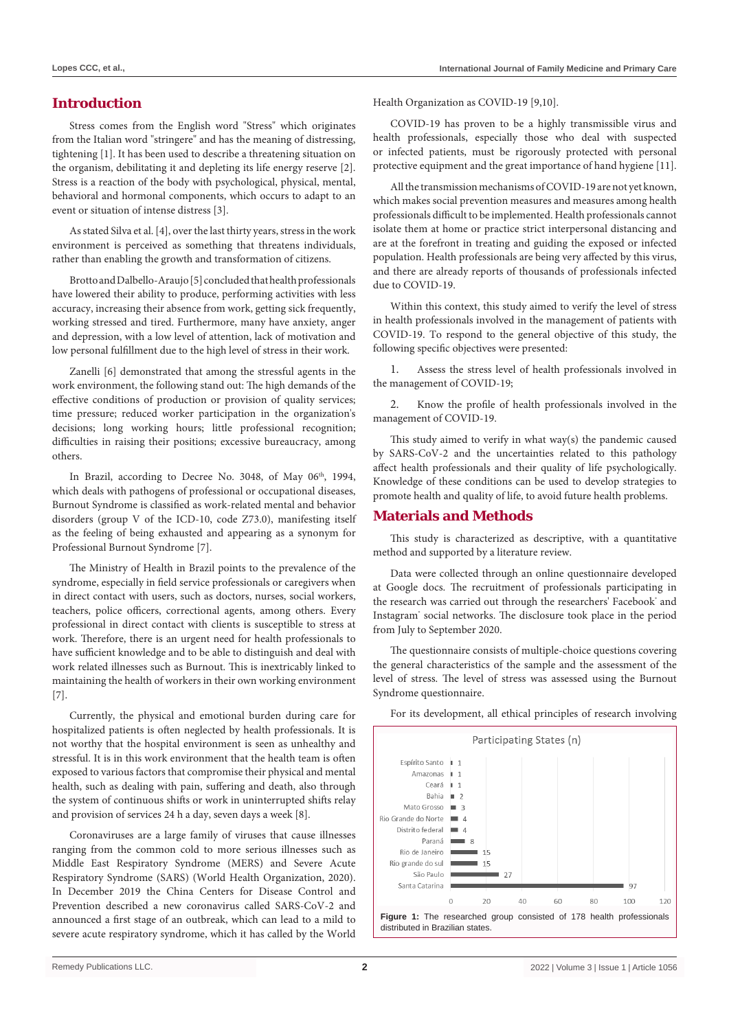## **Introduction**

Stress comes from the English word "Stress" which originates from the Italian word "stringere" and has the meaning of distressing, tightening [1]. It has been used to describe a threatening situation on the organism, debilitating it and depleting its life energy reserve [2]. Stress is a reaction of the body with psychological, physical, mental, behavioral and hormonal components, which occurs to adapt to an event or situation of intense distress [3].

As stated Silva et al. [4], over the last thirty years, stress in the work environment is perceived as something that threatens individuals, rather than enabling the growth and transformation of citizens.

Brotto and Dalbello-Araujo [5] concluded that health professionals have lowered their ability to produce, performing activities with less accuracy, increasing their absence from work, getting sick frequently, working stressed and tired. Furthermore, many have anxiety, anger and depression, with a low level of attention, lack of motivation and low personal fulfillment due to the high level of stress in their work.

Zanelli [6] demonstrated that among the stressful agents in the work environment, the following stand out: The high demands of the effective conditions of production or provision of quality services; time pressure; reduced worker participation in the organization's decisions; long working hours; little professional recognition; difficulties in raising their positions; excessive bureaucracy, among others.

In Brazil, according to Decree No. 3048, of May 06th, 1994, which deals with pathogens of professional or occupational diseases, Burnout Syndrome is classified as work-related mental and behavior disorders (group V of the ICD-10, code Z73.0), manifesting itself as the feeling of being exhausted and appearing as a synonym for Professional Burnout Syndrome [7].

The Ministry of Health in Brazil points to the prevalence of the syndrome, especially in field service professionals or caregivers when in direct contact with users, such as doctors, nurses, social workers, teachers, police officers, correctional agents, among others. Every professional in direct contact with clients is susceptible to stress at work. Therefore, there is an urgent need for health professionals to have sufficient knowledge and to be able to distinguish and deal with work related illnesses such as Burnout. This is inextricably linked to maintaining the health of workers in their own working environment [7].

Currently, the physical and emotional burden during care for hospitalized patients is often neglected by health professionals. It is not worthy that the hospital environment is seen as unhealthy and stressful. It is in this work environment that the health team is often exposed to various factors that compromise their physical and mental health, such as dealing with pain, suffering and death, also through the system of continuous shifts or work in uninterrupted shifts relay and provision of services 24 h a day, seven days a week [8].

Coronaviruses are a large family of viruses that cause illnesses ranging from the common cold to more serious illnesses such as Middle East Respiratory Syndrome (MERS) and Severe Acute Respiratory Syndrome (SARS) (World Health Organization, 2020). In December 2019 the China Centers for Disease Control and Prevention described a new coronavirus called SARS-CoV-2 and announced a first stage of an outbreak, which can lead to a mild to severe acute respiratory syndrome, which it has called by the World Health Organization as COVID-19 [9,10].

COVID-19 has proven to be a highly transmissible virus and health professionals, especially those who deal with suspected or infected patients, must be rigorously protected with personal protective equipment and the great importance of hand hygiene [11].

All the transmission mechanisms of COVID-19 are not yet known, which makes social prevention measures and measures among health professionals difficult to be implemented. Health professionals cannot isolate them at home or practice strict interpersonal distancing and are at the forefront in treating and guiding the exposed or infected population. Health professionals are being very affected by this virus, and there are already reports of thousands of professionals infected due to COVID-19.

Within this context, this study aimed to verify the level of stress in health professionals involved in the management of patients with COVID-19. To respond to the general objective of this study, the following specific objectives were presented:

1. Assess the stress level of health professionals involved in the management of COVID-19;

2. Know the profile of health professionals involved in the management of COVID-19.

This study aimed to verify in what way(s) the pandemic caused by SARS-CoV-2 and the uncertainties related to this pathology affect health professionals and their quality of life psychologically. Knowledge of these conditions can be used to develop strategies to promote health and quality of life, to avoid future health problems.

## **Materials and Methods**

This study is characterized as descriptive, with a quantitative method and supported by a literature review.

Data were collected through an online questionnaire developed at Google docs. The recruitment of professionals participating in the research was carried out through the researchers' Facebook' and Instagram<sup>®</sup> social networks. The disclosure took place in the period from July to September 2020.

The questionnaire consists of multiple-choice questions covering the general characteristics of the sample and the assessment of the level of stress. The level of stress was assessed using the Burnout Syndrome questionnaire.

For its development, all ethical principles of research involving

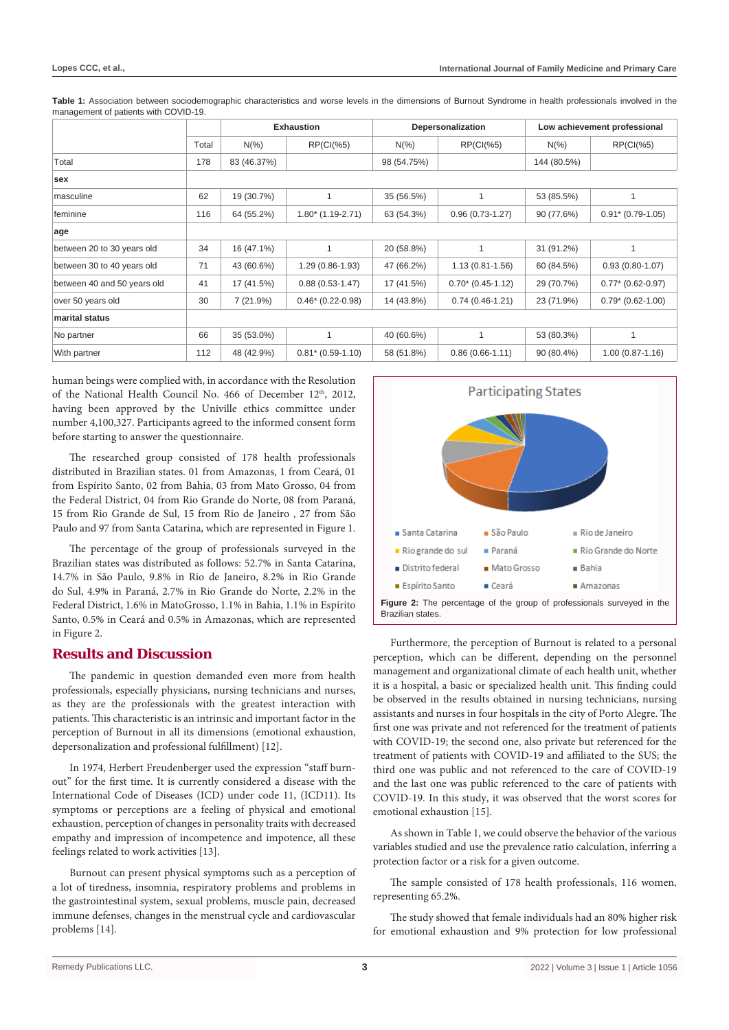|                             |       |             | <b>Exhaustion</b>        | Depersonalization |                     | Low achievement professional |                     |
|-----------------------------|-------|-------------|--------------------------|-------------------|---------------------|------------------------------|---------------------|
|                             | Total | $N(\%)$     | RP(Cl%5)                 | $N(\%)$           | RP(Cl%5)            | $N(\% )$                     | RP(Cl%5)            |
| Total                       | 178   | 83 (46.37%) |                          | 98 (54.75%)       |                     | 144 (80.5%)                  |                     |
| sex                         |       |             |                          |                   |                     |                              |                     |
| masculine                   | 62    | 19 (30.7%)  |                          | 35 (56.5%)        |                     | 53 (85.5%)                   | 1                   |
| feminine                    | 116   | 64 (55.2%)  | $1.80^*$ (1.19-2.71)     | 63 (54.3%)        | $0.96(0.73-1.27)$   | 90 (77.6%)                   | $0.91* (0.79-1.05)$ |
| age                         |       |             |                          |                   |                     |                              |                     |
| between 20 to 30 years old  | 34    | 16 (47.1%)  |                          | 20 (58.8%)        |                     | 31 (91.2%)                   | 1                   |
| between 30 to 40 years old  | 71    | 43 (60.6%)  | 1.29 (0.86-1.93)         | 47 (66.2%)        | $1.13(0.81 - 1.56)$ | 60 (84.5%)                   | $0.93(0.80 - 1.07)$ |
| between 40 and 50 years old | 41    | 17 (41.5%)  | $0.88(0.53 - 1.47)$      | 17 (41.5%)        | $0.70*(0.45-1.12)$  | 29 (70.7%)                   | $0.77*$ (0.62-0.97) |
| over 50 years old           | 30    | 7(21.9%)    | $0.46*$ (0.22-0.98)      | 14 (43.8%)        | $0.74(0.46-1.21)$   | 23 (71.9%)                   | $0.79* (0.62-1.00)$ |
| marital status              |       |             |                          |                   |                     |                              |                     |
| No partner                  | 66    | 35 (53.0%)  |                          | 40 (60.6%)        |                     | 53 (80.3%)                   | 1                   |
| With partner                | 112   | 48 (42.9%)  | $0.81$ * $(0.59 - 1.10)$ | 58 (51.8%)        | $0.86(0.66 - 1.11)$ | 90 (80.4%)                   | $1.00(0.87 - 1.16)$ |

Table 1: Association between sociodemographic characteristics and worse levels in the dimensions of Burnout Syndrome in health professionals involved in the management of patients with COVID-19.

human beings were complied with, in accordance with the Resolution of the National Health Council No. 466 of December 12<sup>th</sup>, 2012, having been approved by the Univille ethics committee under number 4,100,327. Participants agreed to the informed consent form before starting to answer the questionnaire.

The researched group consisted of 178 health professionals distributed in Brazilian states. 01 from Amazonas, 1 from Ceará, 01 from Espírito Santo, 02 from Bahia, 03 from Mato Grosso, 04 from the Federal District, 04 from Rio Grande do Norte, 08 from Paraná, 15 from Rio Grande de Sul, 15 from Rio de Janeiro , 27 from São Paulo and 97 from Santa Catarina, which are represented in Figure 1.

The percentage of the group of professionals surveyed in the Brazilian states was distributed as follows: 52.7% in Santa Catarina, 14.7% in São Paulo, 9.8% in Rio de Janeiro, 8.2% in Rio Grande do Sul, 4.9% in Paraná, 2.7% in Rio Grande do Norte, 2.2% in the Federal District, 1.6% in MatoGrosso, 1.1% in Bahia, 1.1% in Espírito Santo, 0.5% in Ceará and 0.5% in Amazonas, which are represented in Figure 2.

## **Results and Discussion**

The pandemic in question demanded even more from health professionals, especially physicians, nursing technicians and nurses, as they are the professionals with the greatest interaction with patients. This characteristic is an intrinsic and important factor in the perception of Burnout in all its dimensions (emotional exhaustion, depersonalization and professional fulfillment) [12].

In 1974, Herbert Freudenberger used the expression "staff burnout" for the first time. It is currently considered a disease with the International Code of Diseases (ICD) under code 11, (ICD11). Its symptoms or perceptions are a feeling of physical and emotional exhaustion, perception of changes in personality traits with decreased empathy and impression of incompetence and impotence, all these feelings related to work activities [13].

Burnout can present physical symptoms such as a perception of a lot of tiredness, insomnia, respiratory problems and problems in the gastrointestinal system, sexual problems, muscle pain, decreased immune defenses, changes in the menstrual cycle and cardiovascular problems [14].



Furthermore, the perception of Burnout is related to a personal perception, which can be different, depending on the personnel management and organizational climate of each health unit, whether it is a hospital, a basic or specialized health unit. This finding could be observed in the results obtained in nursing technicians, nursing assistants and nurses in four hospitals in the city of Porto Alegre. The first one was private and not referenced for the treatment of patients with COVID-19; the second one, also private but referenced for the treatment of patients with COVID-19 and affiliated to the SUS; the third one was public and not referenced to the care of COVID-19 and the last one was public referenced to the care of patients with COVID-19. In this study, it was observed that the worst scores for emotional exhaustion [15].

As shown in Table 1, we could observe the behavior of the various variables studied and use the prevalence ratio calculation, inferring a protection factor or a risk for a given outcome.

The sample consisted of 178 health professionals, 116 women, representing 65.2%.

The study showed that female individuals had an 80% higher risk for emotional exhaustion and 9% protection for low professional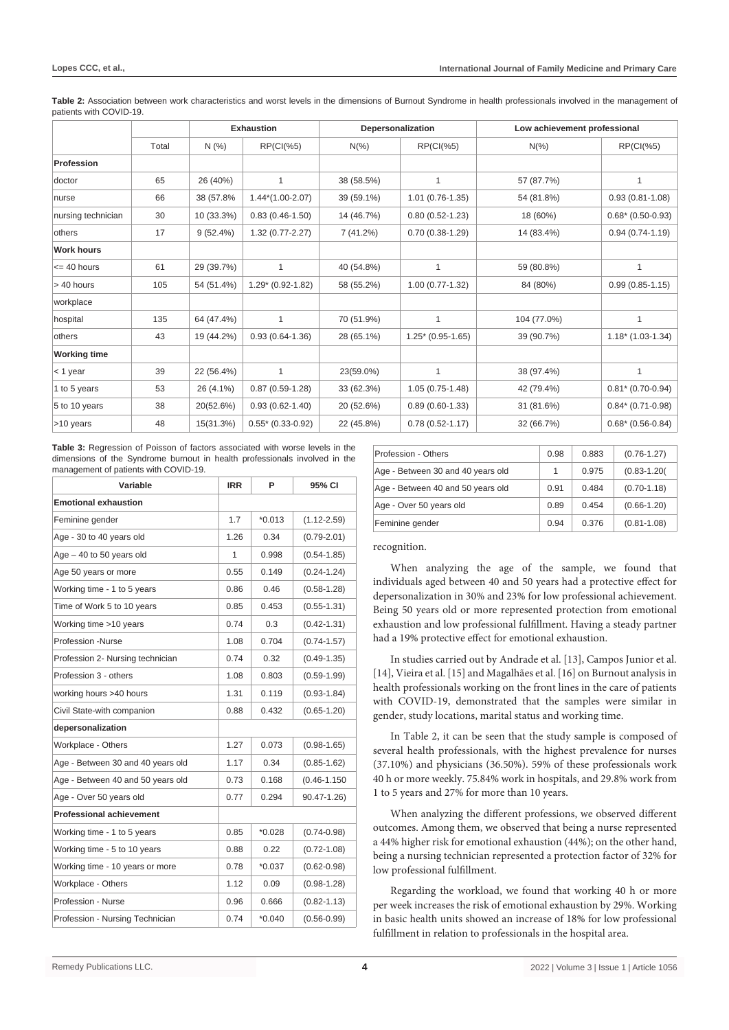|                     |       | <b>Exhaustion</b> |                     | Depersonalization |                     | Low achievement professional |                     |
|---------------------|-------|-------------------|---------------------|-------------------|---------------------|------------------------------|---------------------|
|                     | Total | N(%               | RP(Cl%5)            | $N(\%)$           | RP(Cl%5)            | $N(\% )$                     | RP(Cl%5)            |
| <b>Profession</b>   |       |                   |                     |                   |                     |                              |                     |
| doctor              | 65    | 26 (40%)          | 1                   | 38 (58.5%)        | 1                   | 57 (87.7%)                   | 1                   |
| nurse               | 66    | 38 (57.8%         | $1.44*(1.00-2.07)$  | 39 (59.1%)        | $1.01(0.76-1.35)$   | 54 (81.8%)                   | $0.93(0.81 - 1.08)$ |
| nursing technician  | 30    | 10 (33.3%)        | $0.83(0.46-1.50)$   | 14 (46.7%)        | $0.80(0.52 - 1.23)$ | 18 (60%)                     | $0.68*$ (0.50-0.93) |
| others              | 17    | 9(52.4%)          | $1.32(0.77 - 2.27)$ | 7(41.2%)          | $0.70(0.38-1.29)$   | 14 (83.4%)                   | $0.94(0.74-1.19)$   |
| <b>Work hours</b>   |       |                   |                     |                   |                     |                              |                     |
| $= 40$ hours        | 61    | 29 (39.7%)        | 1                   | 40 (54.8%)        | 1                   | 59 (80.8%)                   | 1                   |
| > 40 hours          | 105   | 54 (51.4%)        | $1.29*(0.92-1.82)$  | 58 (55.2%)        | $1.00(0.77-1.32)$   | 84 (80%)                     | $0.99(0.85 - 1.15)$ |
| workplace           |       |                   |                     |                   |                     |                              |                     |
| hospital            | 135   | 64 (47.4%)        | 1                   | 70 (51.9%)        | 1                   | 104 (77.0%)                  | 1                   |
| others              | 43    | 19 (44.2%)        | $0.93(0.64-1.36)$   | 28 (65.1%)        | $1.25*(0.95-1.65)$  | 39 (90.7%)                   | $1.18*(1.03-1.34)$  |
| <b>Working time</b> |       |                   |                     |                   |                     |                              |                     |
| $<$ 1 year          | 39    | 22 (56.4%)        | 1                   | 23(59.0%)         | 1                   | 38 (97.4%)                   | $\mathbf{1}$        |
| 1 to 5 years        | 53    | 26 (4.1%)         | $0.87(0.59-1.28)$   | 33 (62.3%)        | $1.05(0.75-1.48)$   | 42 (79.4%)                   | $0.81* (0.70-0.94)$ |
| 5 to 10 years       | 38    | 20(52.6%)         | $0.93(0.62 - 1.40)$ | 20 (52.6%)        | $0.89(0.60-1.33)$   | 31 (81.6%)                   | $0.84* (0.71-0.98)$ |
| >10 years           | 48    | 15(31.3%)         | $0.55*$ (0.33-0.92) | 22 (45.8%)        | $0.78(0.52 - 1.17)$ | 32 (66.7%)                   | $0.68*$ (0.56-0.84) |

**Table 2:** Association between work characteristics and worst levels in the dimensions of Burnout Syndrome in health professionals involved in the management of patients with COVID-19.

**Table 3:** Regression of Poisson of factors associated with worse levels in the dimensions of the Syndrome burnout in health professionals involved in the management of patients with COVID-19.

| Variable                          | <b>IRR</b> | P        | 95% CI           |
|-----------------------------------|------------|----------|------------------|
| <b>Emotional exhaustion</b>       |            |          |                  |
| Feminine gender                   | 1.7        | $*0.013$ | $(1.12 - 2.59)$  |
| Age - 30 to 40 years old          | 1.26       | 0.34     | $(0.79 - 2.01)$  |
| $Age - 40$ to 50 years old        | 1          | 0.998    | $(0.54 - 1.85)$  |
| Age 50 years or more              | 0.55       | 0.149    | $(0.24 - 1.24)$  |
| Working time - 1 to 5 years       | 0.86       | 0.46     | $(0.58 - 1.28)$  |
| Time of Work 5 to 10 years        | 0.85       | 0.453    | $(0.55 - 1.31)$  |
| Working time >10 years            | 0.74       | 0.3      | $(0.42 - 1.31)$  |
| Profession -Nurse                 | 1.08       | 0.704    | $(0.74 - 1.57)$  |
| Profession 2- Nursing technician  | 0.74       | 0.32     | $(0.49 - 1.35)$  |
| Profession 3 - others             | 1.08       | 0.803    | $(0.59 - 1.99)$  |
| working hours >40 hours           | 1.31       | 0.119    | $(0.93 - 1.84)$  |
| Civil State-with companion        | 0.88       | 0.432    | $(0.65 - 1.20)$  |
| depersonalization                 |            |          |                  |
| Workplace - Others                | 1.27       | 0.073    | $(0.98 - 1.65)$  |
| Age - Between 30 and 40 years old | 1.17       | 0.34     | $(0.85 - 1.62)$  |
| Age - Between 40 and 50 years old | 0.73       | 0.168    | $(0.46 - 1.150)$ |
| Age - Over 50 years old           | 0.77       | 0.294    | 90.47-1.26)      |
| <b>Professional achievement</b>   |            |          |                  |
| Working time - 1 to 5 years       | 0.85       | $*0.028$ | $(0.74 - 0.98)$  |
| Working time - 5 to 10 years      | 0.88       | 0.22     | $(0.72 - 1.08)$  |
| Working time - 10 years or more   | 0.78       | $*0.037$ | $(0.62 - 0.98)$  |
| Workplace - Others                | 1.12       | 0.09     | $(0.98 - 1.28)$  |
| Profession - Nurse                | 0.96       | 0.666    | $(0.82 - 1.13)$  |
| Profession - Nursing Technician   | 0.74       | $*0.040$ | $(0.56 - 0.99)$  |

| Profession - Others               | 0.98 | 0.883 | $(0.76 - 1.27)$ |
|-----------------------------------|------|-------|-----------------|
| Age - Between 30 and 40 years old | 1    | 0.975 | $(0.83 - 1.20)$ |
| Age - Between 40 and 50 years old | 0.91 | 0.484 | $(0.70 - 1.18)$ |
| Age - Over 50 years old           | 0.89 | 0.454 | $(0.66 - 1.20)$ |
| Feminine gender                   | 0.94 | 0.376 | $(0.81 - 1.08)$ |

#### recognition.

When analyzing the age of the sample, we found that individuals aged between 40 and 50 years had a protective effect for depersonalization in 30% and 23% for low professional achievement. Being 50 years old or more represented protection from emotional exhaustion and low professional fulfillment. Having a steady partner had a 19% protective effect for emotional exhaustion.

In studies carried out by Andrade et al. [13], Campos Junior et al. [14], Vieira et al. [15] and Magalhães et al. [16] on Burnout analysis in health professionals working on the front lines in the care of patients with COVID-19, demonstrated that the samples were similar in gender, study locations, marital status and working time.

In Table 2, it can be seen that the study sample is composed of several health professionals, with the highest prevalence for nurses (37.10%) and physicians (36.50%). 59% of these professionals work 40 h or more weekly. 75.84% work in hospitals, and 29.8% work from 1 to 5 years and 27% for more than 10 years.

When analyzing the different professions, we observed different outcomes. Among them, we observed that being a nurse represented a 44% higher risk for emotional exhaustion (44%); on the other hand, being a nursing technician represented a protection factor of 32% for low professional fulfillment.

Regarding the workload, we found that working 40 h or more per week increases the risk of emotional exhaustion by 29%. Working in basic health units showed an increase of 18% for low professional fulfillment in relation to professionals in the hospital area.